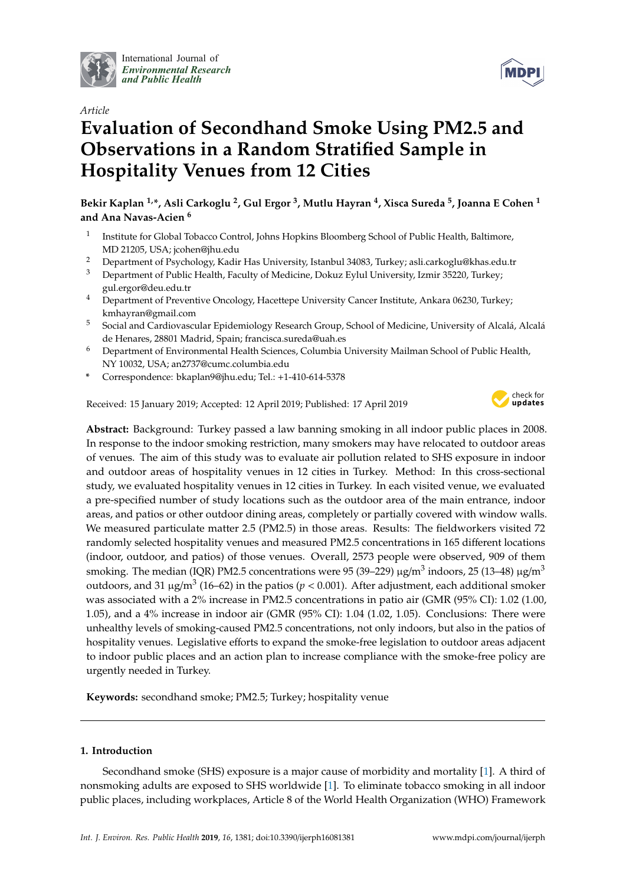

International Journal of *[Environmental Research](http://www.mdpi.com/journal/ijerph) and Public Health*



# **Evaluation of Secondhand Smoke Using PM2.5 and Observations in a Random Stratified Sample in Hospitality Venues from 12 Cities**

**Bekir Kaplan 1,\*, Asli Carkoglu <sup>2</sup> , Gul Ergor <sup>3</sup> , Mutlu Hayran <sup>4</sup> , Xisca Sureda <sup>5</sup> , Joanna E Cohen <sup>1</sup> and Ana Navas-Acien <sup>6</sup>**

- 1 Institute for Global Tobacco Control, Johns Hopkins Bloomberg School of Public Health, Baltimore, MD 21205, USA; jcohen@jhu.edu
- <sup>2</sup> Department of Psychology, Kadir Has University, Istanbul 34083, Turkey; asli.carkoglu@khas.edu.tr<br><sup>3</sup> Department of Public Hoalth, Faculty of Modicine, Dokuz Evlul University Izmir 35220, Turkey.
- <sup>3</sup> Department of Public Health, Faculty of Medicine, Dokuz Eylul University, Izmir 35220, Turkey; gul.ergor@deu.edu.tr
- <sup>4</sup> Department of Preventive Oncology, Hacettepe University Cancer Institute, Ankara 06230, Turkey; kmhayran@gmail.com
- <sup>5</sup> Social and Cardiovascular Epidemiology Research Group, School of Medicine, University of Alcalá, Alcalá de Henares, 28801 Madrid, Spain; francisca.sureda@uah.es
- <sup>6</sup> Department of Environmental Health Sciences, Columbia University Mailman School of Public Health, NY 10032, USA; an2737@cumc.columbia.edu
- **\*** Correspondence: bkaplan9@jhu.edu; Tel.: +1-410-614-5378

Received: 15 January 2019; Accepted: 12 April 2019; Published: 17 April 2019



**MDPI** 

**Abstract:** Background: Turkey passed a law banning smoking in all indoor public places in 2008. In response to the indoor smoking restriction, many smokers may have relocated to outdoor areas of venues. The aim of this study was to evaluate air pollution related to SHS exposure in indoor and outdoor areas of hospitality venues in 12 cities in Turkey. Method: In this cross-sectional study, we evaluated hospitality venues in 12 cities in Turkey. In each visited venue, we evaluated a pre-specified number of study locations such as the outdoor area of the main entrance, indoor areas, and patios or other outdoor dining areas, completely or partially covered with window walls. We measured particulate matter 2.5 (PM2.5) in those areas. Results: The fieldworkers visited 72 randomly selected hospitality venues and measured PM2.5 concentrations in 165 different locations (indoor, outdoor, and patios) of those venues. Overall, 2573 people were observed, 909 of them smoking. The median (IQR) PM2.5 concentrations were 95 (39–229)  $\mu$ g/m $^3$  indoors, 25 (13–48)  $\mu$ g/m $^3$ outdoors, and 31  $\mu$ g/m $^3$  (16–62) in the patios ( $p < 0.001$ ). After adjustment, each additional smoker was associated with a 2% increase in PM2.5 concentrations in patio air (GMR (95% CI): 1.02 (1.00, 1.05), and a 4% increase in indoor air (GMR (95% CI): 1.04 (1.02, 1.05). Conclusions: There were unhealthy levels of smoking-caused PM2.5 concentrations, not only indoors, but also in the patios of hospitality venues. Legislative efforts to expand the smoke-free legislation to outdoor areas adjacent to indoor public places and an action plan to increase compliance with the smoke-free policy are urgently needed in Turkey.

**Keywords:** secondhand smoke; PM2.5; Turkey; hospitality venue

# **1. Introduction**

Secondhand smoke (SHS) exposure is a major cause of morbidity and mortality [\[1\]](#page-7-0). A third of nonsmoking adults are exposed to SHS worldwide [\[1\]](#page-7-0). To eliminate tobacco smoking in all indoor public places, including workplaces, Article 8 of the World Health Organization (WHO) Framework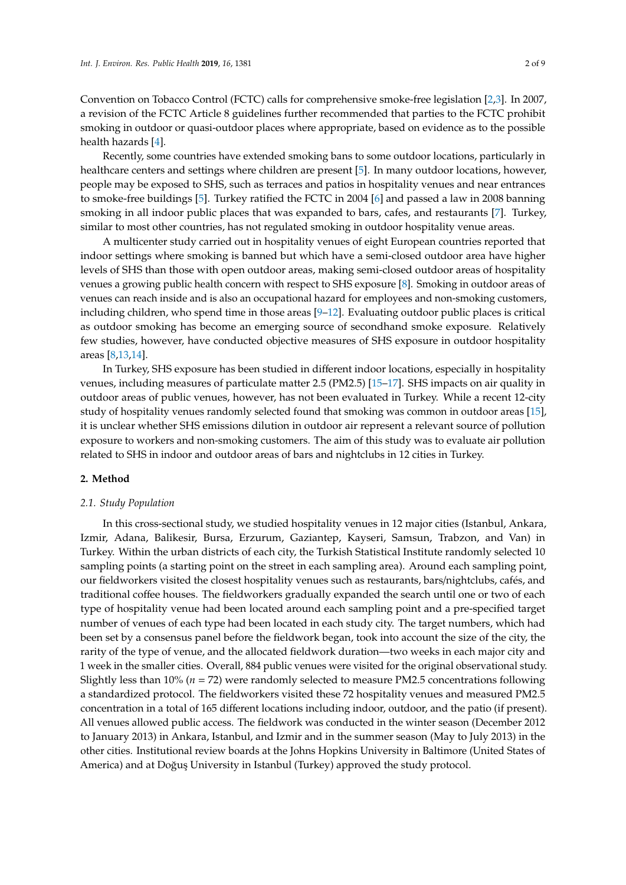Convention on Tobacco Control (FCTC) calls for comprehensive smoke-free legislation [\[2](#page-7-1)[,3\]](#page-7-2). In 2007, a revision of the FCTC Article 8 guidelines further recommended that parties to the FCTC prohibit smoking in outdoor or quasi-outdoor places where appropriate, based on evidence as to the possible health hazards [\[4\]](#page-7-3).

Recently, some countries have extended smoking bans to some outdoor locations, particularly in healthcare centers and settings where children are present [\[5\]](#page-7-4). In many outdoor locations, however, people may be exposed to SHS, such as terraces and patios in hospitality venues and near entrances to smoke-free buildings [\[5\]](#page-7-4). Turkey ratified the FCTC in 2004 [\[6\]](#page-7-5) and passed a law in 2008 banning smoking in all indoor public places that was expanded to bars, cafes, and restaurants [\[7\]](#page-7-6). Turkey, similar to most other countries, has not regulated smoking in outdoor hospitality venue areas.

A multicenter study carried out in hospitality venues of eight European countries reported that indoor settings where smoking is banned but which have a semi-closed outdoor area have higher levels of SHS than those with open outdoor areas, making semi-closed outdoor areas of hospitality venues a growing public health concern with respect to SHS exposure [\[8\]](#page-7-7). Smoking in outdoor areas of venues can reach inside and is also an occupational hazard for employees and non-smoking customers, including children, who spend time in those areas [\[9–](#page-7-8)[12\]](#page-7-9). Evaluating outdoor public places is critical as outdoor smoking has become an emerging source of secondhand smoke exposure. Relatively few studies, however, have conducted objective measures of SHS exposure in outdoor hospitality areas [\[8,](#page-7-7)[13](#page-7-10)[,14\]](#page-7-11).

In Turkey, SHS exposure has been studied in different indoor locations, especially in hospitality venues, including measures of particulate matter 2.5 (PM2.5) [\[15–](#page-7-12)[17\]](#page-7-13). SHS impacts on air quality in outdoor areas of public venues, however, has not been evaluated in Turkey. While a recent 12-city study of hospitality venues randomly selected found that smoking was common in outdoor areas [\[15\]](#page-7-12), it is unclear whether SHS emissions dilution in outdoor air represent a relevant source of pollution exposure to workers and non-smoking customers. The aim of this study was to evaluate air pollution related to SHS in indoor and outdoor areas of bars and nightclubs in 12 cities in Turkey.

# **2. Method**

### *2.1. Study Population*

In this cross-sectional study, we studied hospitality venues in 12 major cities (Istanbul, Ankara, Izmir, Adana, Balikesir, Bursa, Erzurum, Gaziantep, Kayseri, Samsun, Trabzon, and Van) in Turkey. Within the urban districts of each city, the Turkish Statistical Institute randomly selected 10 sampling points (a starting point on the street in each sampling area). Around each sampling point, our fieldworkers visited the closest hospitality venues such as restaurants, bars/nightclubs, cafés, and traditional coffee houses. The fieldworkers gradually expanded the search until one or two of each type of hospitality venue had been located around each sampling point and a pre-specified target number of venues of each type had been located in each study city. The target numbers, which had been set by a consensus panel before the fieldwork began, took into account the size of the city, the rarity of the type of venue, and the allocated fieldwork duration—two weeks in each major city and 1 week in the smaller cities. Overall, 884 public venues were visited for the original observational study. Slightly less than 10% (*n* = 72) were randomly selected to measure PM2.5 concentrations following a standardized protocol. The fieldworkers visited these 72 hospitality venues and measured PM2.5 concentration in a total of 165 different locations including indoor, outdoor, and the patio (if present). All venues allowed public access. The fieldwork was conducted in the winter season (December 2012 to January 2013) in Ankara, Istanbul, and Izmir and in the summer season (May to July 2013) in the other cities. Institutional review boards at the Johns Hopkins University in Baltimore (United States of America) and at Doğus University in Istanbul (Turkey) approved the study protocol.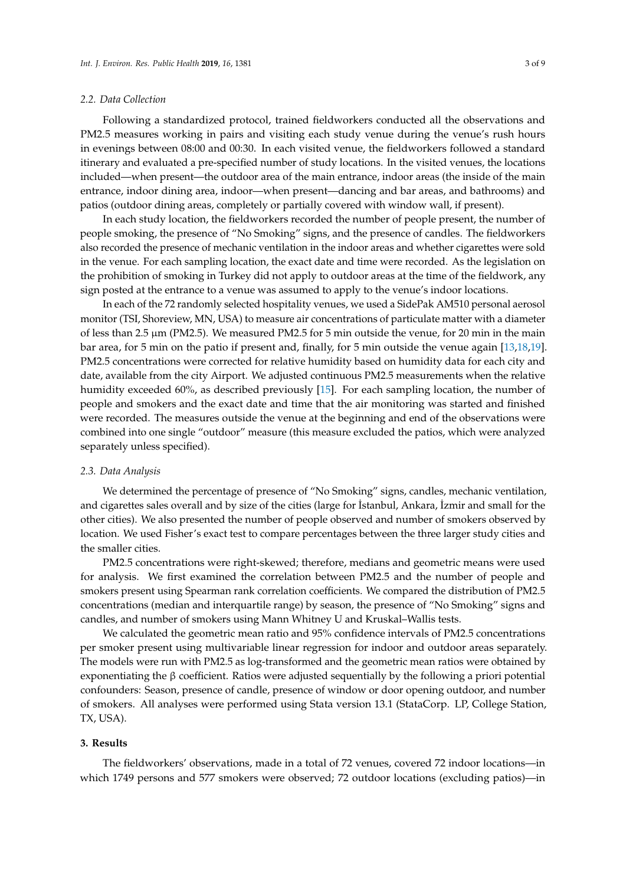#### *2.2. Data Collection*

Following a standardized protocol, trained fieldworkers conducted all the observations and PM2.5 measures working in pairs and visiting each study venue during the venue's rush hours in evenings between 08:00 and 00:30. In each visited venue, the fieldworkers followed a standard itinerary and evaluated a pre-specified number of study locations. In the visited venues, the locations included—when present—the outdoor area of the main entrance, indoor areas (the inside of the main entrance, indoor dining area, indoor—when present—dancing and bar areas, and bathrooms) and patios (outdoor dining areas, completely or partially covered with window wall, if present).

In each study location, the fieldworkers recorded the number of people present, the number of people smoking, the presence of "No Smoking" signs, and the presence of candles. The fieldworkers also recorded the presence of mechanic ventilation in the indoor areas and whether cigarettes were sold in the venue. For each sampling location, the exact date and time were recorded. As the legislation on the prohibition of smoking in Turkey did not apply to outdoor areas at the time of the fieldwork, any sign posted at the entrance to a venue was assumed to apply to the venue's indoor locations.

In each of the 72 randomly selected hospitality venues, we used a SidePak AM510 personal aerosol monitor (TSI, Shoreview, MN, USA) to measure air concentrations of particulate matter with a diameter of less than 2.5 µm (PM2.5). We measured PM2.5 for 5 min outside the venue, for 20 min in the main bar area, for 5 min on the patio if present and, finally, for 5 min outside the venue again [\[13,](#page-7-10)[18,](#page-7-14)[19\]](#page-7-15). PM2.5 concentrations were corrected for relative humidity based on humidity data for each city and date, available from the city Airport. We adjusted continuous PM2.5 measurements when the relative humidity exceeded 60%, as described previously [\[15\]](#page-7-12). For each sampling location, the number of people and smokers and the exact date and time that the air monitoring was started and finished were recorded. The measures outside the venue at the beginning and end of the observations were combined into one single "outdoor" measure (this measure excluded the patios, which were analyzed separately unless specified).

#### *2.3. Data Analysis*

We determined the percentage of presence of "No Smoking" signs, candles, mechanic ventilation, and cigarettes sales overall and by size of the cities (large for Istanbul, Ankara, Izmir and small for the other cities). We also presented the number of people observed and number of smokers observed by location. We used Fisher's exact test to compare percentages between the three larger study cities and the smaller cities.

PM2.5 concentrations were right-skewed; therefore, medians and geometric means were used for analysis. We first examined the correlation between PM2.5 and the number of people and smokers present using Spearman rank correlation coefficients. We compared the distribution of PM2.5 concentrations (median and interquartile range) by season, the presence of "No Smoking" signs and candles, and number of smokers using Mann Whitney U and Kruskal–Wallis tests.

We calculated the geometric mean ratio and 95% confidence intervals of PM2.5 concentrations per smoker present using multivariable linear regression for indoor and outdoor areas separately. The models were run with PM2.5 as log-transformed and the geometric mean ratios were obtained by exponentiating the  $\beta$  coefficient. Ratios were adjusted sequentially by the following a priori potential confounders: Season, presence of candle, presence of window or door opening outdoor, and number of smokers. All analyses were performed using Stata version 13.1 (StataCorp. LP, College Station, TX, USA).

#### **3. Results**

The fieldworkers' observations, made in a total of 72 venues, covered 72 indoor locations—in which 1749 persons and 577 smokers were observed; 72 outdoor locations (excluding patios)—in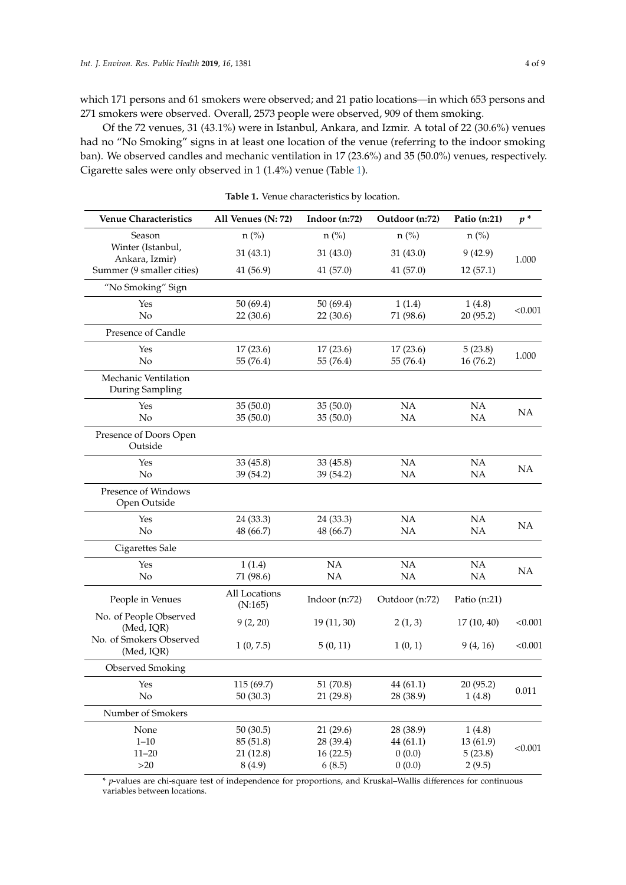which 171 persons and 61 smokers were observed; and 21 patio locations—in which 653 persons and 271 smokers were observed. Overall, 2573 people were observed, 909 of them smoking.

Of the 72 venues, 31 (43.1%) were in Istanbul, Ankara, and Izmir. A total of 22 (30.6%) venues had no "No Smoking" signs in at least one location of the venue (referring to the indoor smoking ban). We observed candles and mechanic ventilation in 17 (23.6%) and 35 (50.0%) venues, respectively. Cigarette sales were only observed in 1 (1.4%) venue (Table [1\)](#page-3-0).

<span id="page-3-0"></span>

| <b>Venue Characteristics</b>            | All Venues (N: 72)                           | Indoor (n:72)                               | Outdoor (n:72)                            | Patio (n:21)                             | $p^*$     |  |
|-----------------------------------------|----------------------------------------------|---------------------------------------------|-------------------------------------------|------------------------------------------|-----------|--|
| Season                                  | $n$ (%)                                      | $n$ (%)                                     | $n$ (%)                                   | $n$ (%)                                  |           |  |
| Winter (Istanbul,<br>Ankara, Izmir)     | 31(43.1)                                     | 31(43.0)                                    | 31(43.0)                                  | 9(42.9)                                  | 1.000     |  |
| Summer (9 smaller cities)               | 41 (56.9)                                    | 41 (57.0)                                   | 41(57.0)                                  | 12(57.1)                                 |           |  |
| "No Smoking" Sign                       |                                              |                                             |                                           |                                          |           |  |
| Yes<br>No                               | 50(69.4)<br>22 (30.6)                        | 50(69.4)<br>22(30.6)                        | 1(1.4)<br>71 (98.6)                       | 1(4.8)<br>20 (95.2)                      | < 0.001   |  |
| Presence of Candle                      |                                              |                                             |                                           |                                          |           |  |
| Yes<br>No                               | 17(23.6)<br>55 (76.4)                        | 17(23.6)<br>55 (76.4)                       | 17(23.6)<br>55 (76.4)                     | 5(23.8)<br>16 (76.2)                     | 1.000     |  |
| Mechanic Ventilation<br>During Sampling |                                              |                                             |                                           |                                          |           |  |
| Yes<br>No                               | 35(50.0)<br>35(50.0)                         | 35(50.0)<br>35(50.0)                        | NA<br>NA                                  | NA<br>NA                                 | <b>NA</b> |  |
| Presence of Doors Open<br>Outside       |                                              |                                             |                                           |                                          |           |  |
| Yes<br>No                               | 33(45.8)<br>39 (54.2)                        | 33(45.8)<br>39 (54.2)                       | <b>NA</b><br>NA                           | <b>NA</b><br>NA                          | NA        |  |
| Presence of Windows<br>Open Outside     |                                              |                                             |                                           |                                          |           |  |
| Yes<br>No                               | 24 (33.3)<br>48 (66.7)                       | 24 (33.3)<br>48 (66.7)                      | NA<br><b>NA</b>                           | NA<br><b>NA</b>                          | <b>NA</b> |  |
| Cigarettes Sale                         |                                              |                                             |                                           |                                          |           |  |
| Yes<br>No                               | 1(1.4)<br>71 (98.6)                          | NA<br>NA                                    | NA<br>NA                                  | NA<br>NA                                 | NA        |  |
| People in Venues                        | All Locations<br>(N:165)                     | Indoor $(n:72)$                             | Outdoor (n:72)                            | Patio $(n:21)$                           |           |  |
| No. of People Observed<br>(Med, IQR)    | 9(2, 20)                                     | 19 (11, 30)                                 | 2(1, 3)                                   | 17(10, 40)                               | < 0.001   |  |
| No. of Smokers Observed<br>(Med, IQR)   | 1(0, 7.5)                                    | 5(0, 11)                                    | 1(0, 1)                                   | 9(4, 16)                                 | < 0.001   |  |
| Observed Smoking                        |                                              |                                             |                                           |                                          |           |  |
| Yes<br>$\rm No$                         | 115 (69.7)<br>50(30.3)                       | 51 (70.8)<br>21(29.8)                       | 44(61.1)<br>28 (38.9)                     | 20 (95.2)<br>1(4.8)                      | 0.011     |  |
| Number of Smokers                       |                                              |                                             |                                           |                                          |           |  |
| None<br>$1 - 10$<br>$11 - 20$<br>$>20$  | 50(30.5)<br>85 (51.8)<br>21 (12.8)<br>8(4.9) | 21(29.6)<br>28 (39.4)<br>16(22.5)<br>6(8.5) | 28 (38.9)<br>44(61.1)<br>0(0.0)<br>0(0.0) | 1(4.8)<br>13 (61.9)<br>5(23.8)<br>2(9.5) | < 0.001   |  |

**Table 1.** Venue characteristics by location.

\* *p*-values are chi-square test of independence for proportions, and Kruskal–Wallis differences for continuous variables between locations.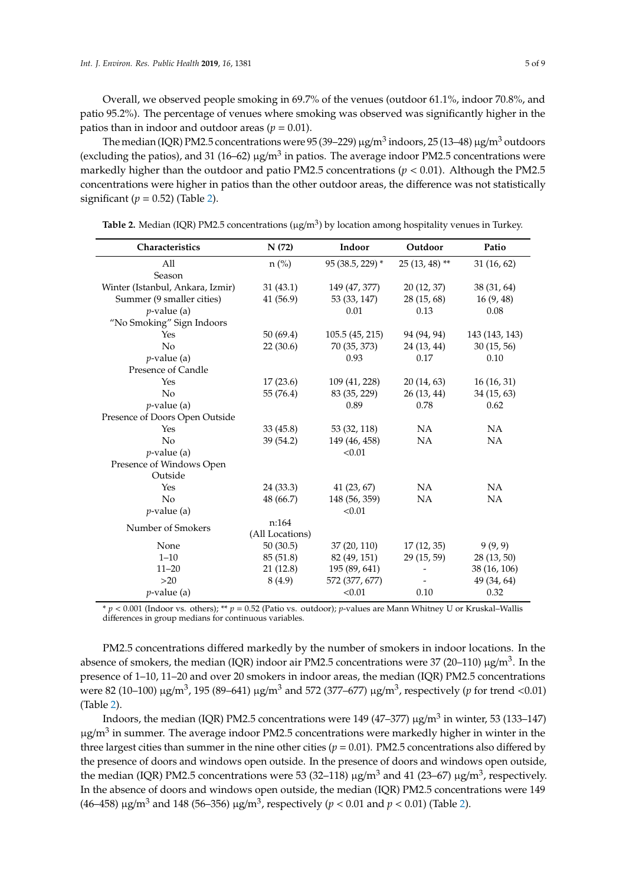Overall, we observed people smoking in 69.7% of the venues (outdoor 61.1%, indoor 70.8%, and patio 95.2%). The percentage of venues where smoking was observed was significantly higher in the patios than in indoor and outdoor areas ( $p = 0.01$ ).

The median (IQR) PM2.5 concentrations were 95 (39–229)  $\mu$ g/m $^3$  indoors, 25 (13–48)  $\mu$ g/m $^3$  outdoors (excluding the patios), and 31 (16–62)  $\mu$ g/m<sup>3</sup> in patios. The average indoor PM2.5 concentrations were markedly higher than the outdoor and patio PM2.5 concentrations ( $p < 0.01$ ). Although the PM2.5 concentrations were higher in patios than the other outdoor areas, the difference was not statistically significant  $(p = 0.52)$  $(p = 0.52)$  (Table 2).

| Characteristics                  | N(72)           | Indoor           | Outdoor         | Patio          |
|----------------------------------|-----------------|------------------|-----------------|----------------|
| All                              | $n$ (%)         | 95 (38.5, 229) * | $25(13, 48)$ ** | 31(16, 62)     |
| Season                           |                 |                  |                 |                |
| Winter (Istanbul, Ankara, Izmir) | 31(43.1)        | 149 (47, 377)    | 20 (12, 37)     | 38 (31, 64)    |
| Summer (9 smaller cities)        | 41 (56.9)       | 53 (33, 147)     | 28 (15, 68)     | 16(9, 48)      |
| $p$ -value (a)                   |                 | 0.01             | 0.13            | 0.08           |
| "No Smoking" Sign Indoors        |                 |                  |                 |                |
| Yes                              | 50 (69.4)       | 105.5(45, 215)   | 94 (94, 94)     | 143 (143, 143) |
| $\overline{N}$                   | 22(30.6)        | 70 (35, 373)     | 24 (13, 44)     | 30(15, 56)     |
| $p$ -value (a)                   |                 | 0.93             | 0.17            | 0.10           |
| Presence of Candle               |                 |                  |                 |                |
| Yes                              | 17(23.6)        | 109 (41, 228)    | 20(14, 63)      | 16(16, 31)     |
| No                               | 55 (76.4)       | 83 (35, 229)     | 26 (13, 44)     | 34(15, 63)     |
| $p$ -value (a)                   |                 | 0.89             | 0.78            | 0.62           |
| Presence of Doors Open Outside   |                 |                  |                 |                |
| Yes                              | 33(45.8)        | 53 (32, 118)     | <b>NA</b>       | NA             |
| No                               | 39 (54.2)       | 149 (46, 458)    | NA.             | NA             |
| $p$ -value (a)                   |                 | < 0.01           |                 |                |
| Presence of Windows Open         |                 |                  |                 |                |
| Outside                          |                 |                  |                 |                |
| Yes                              | 24 (33.3)       | 41(23, 67)       | NA              | NA             |
| No                               | 48 (66.7)       | 148 (56, 359)    | <b>NA</b>       | <b>NA</b>      |
| $p$ -value (a)                   |                 | < 0.01           |                 |                |
| Number of Smokers                | n:164           |                  |                 |                |
|                                  | (All Locations) |                  |                 |                |
| None                             | 50(30.5)        | 37 (20, 110)     | 17(12, 35)      | 9(9, 9)        |
| $1 - 10$                         | 85 (51.8)       | 82 (49, 151)     | 29 (15, 59)     | 28(13, 50)     |
| $11 - 20$                        | 21(12.8)        | 195 (89, 641)    |                 | 38 (16, 106)   |
| >20                              | 8(4.9)          | 572 (377, 677)   |                 | 49 (34, 64)    |
| $p$ -value (a)                   |                 | < 0.01           | 0.10            | 0.32           |

<span id="page-4-0"></span>Table 2. Median (IQR) PM2.5 concentrations (µg/m<sup>3</sup>) by location among hospitality venues in Turkey.

\* *p* < 0.001 (Indoor vs. others); \*\* *p* = 0.52 (Patio vs. outdoor); *p*-values are Mann Whitney U or Kruskal–Wallis differences in group medians for continuous variables.

PM2.5 concentrations differed markedly by the number of smokers in indoor locations. In the absence of smokers, the median (IQR) indoor air PM2.5 concentrations were 37 (20–110)  $\mu$ g/m<sup>3</sup>. In the presence of 1–10, 11–20 and over 20 smokers in indoor areas, the median (IQR) PM2.5 concentrations were 82 (10–100) µg/m<sup>3</sup> , 195 (89–641) µg/m<sup>3</sup> and 572 (377–677) µg/m<sup>3</sup> , respectively (*p* for trend <0.01) (Table [2\)](#page-4-0).

Indoors, the median (IQR) PM2.5 concentrations were 149 (47–377)  $\mu$ g/m $^3$  in winter, 53 (133–147)  $\mu$ g/m $^3$  in summer. The average indoor PM2.5 concentrations were markedly higher in winter in the three largest cities than summer in the nine other cities ( $p = 0.01$ ). PM2.5 concentrations also differed by the presence of doors and windows open outside. In the presence of doors and windows open outside, the median (IQR) PM2.5 concentrations were 53 (32–118)  $\mu$ g/m<sup>3</sup> and 41 (23–67)  $\mu$ g/m<sup>3</sup>, respectively. In the absence of doors and windows open outside, the median (IQR) PM2.5 concentrations were 149 (46–458) µg/m<sup>3</sup> and 148 (56–356) µg/m<sup>3</sup>, respectively ( $p < 0.01$  and  $p < 0.01$ ) (Table [2\)](#page-4-0).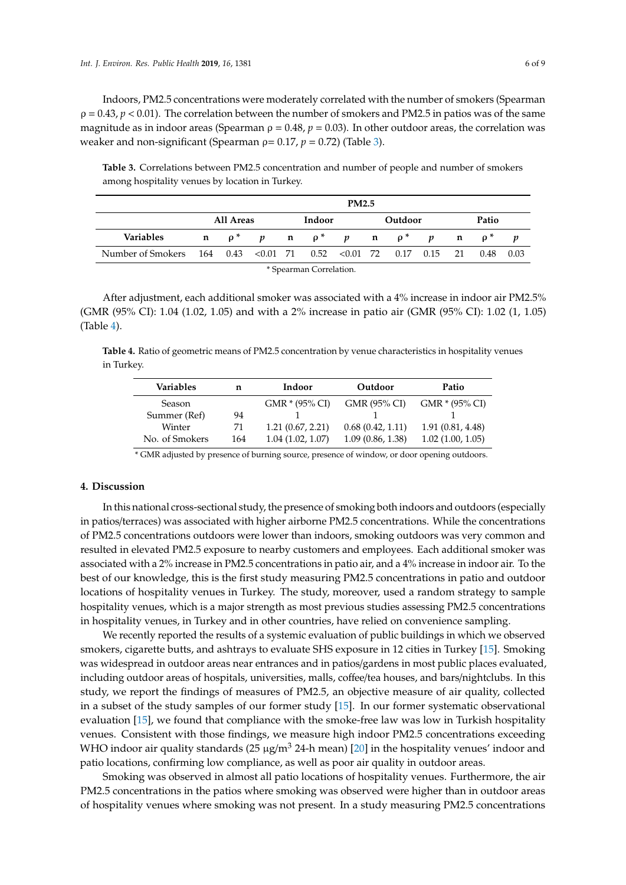Indoors, PM2.5 concentrations were moderately correlated with the number of smokers (Spearman  $\rho = 0.43$ ,  $p < 0.01$ ). The correlation between the number of smokers and PM2.5 in patios was of the same magnitude as in indoor areas (Spearman  $\rho = 0.48$ ,  $p = 0.03$ ). In other outdoor areas, the correlation was weaker and non-significant (Spearman  $\rho = 0.17$ ,  $p = 0.72$ ) (Table [3\)](#page-5-0).

<span id="page-5-0"></span>**Table 3.** Correlations between PM2.5 concentration and number of people and number of smokers among hospitality venues by location in Turkey.

|                                                                  |           |                                                                         |        | <b>PM2.5</b> |         |  |            |  |
|------------------------------------------------------------------|-----------|-------------------------------------------------------------------------|--------|--------------|---------|--|------------|--|
|                                                                  | All Areas |                                                                         | Indoor |              | Outdoor |  | Patio      |  |
| <b>Variables</b>                                                 |           | $\mathbf{n}$ $\rho^*$ p $\mathbf{n}$ $\rho^*$ p $\mathbf{n}$ $\rho^*$ p |        |              |         |  | $n \rho^*$ |  |
| Number of Smokers 164 0.43 < 0.01 71 0.52 < 0.01 72 0.17 0.15 21 |           |                                                                         |        |              |         |  | 0.48 0.03  |  |

| * Spearman Correlation. |  |
|-------------------------|--|
|-------------------------|--|

After adjustment, each additional smoker was associated with a 4% increase in indoor air PM2.5% (GMR (95% CI): 1.04 (1.02, 1.05) and with a 2% increase in patio air (GMR (95% CI): 1.02 (1, 1.05) (Table [4\)](#page-5-1).

<span id="page-5-1"></span>**Table 4.** Ratio of geometric means of PM2.5 concentration by venue characteristics in hospitality venues in Turkey.

| Variables      | n   | Indoor<br>Outdoor |                  | Patio             |
|----------------|-----|-------------------|------------------|-------------------|
| Season         |     | $GMR * (95\% CI)$ | GMR (95% CI)     | $GMR * (95\% CI)$ |
| Summer (Ref)   | 94  |                   |                  |                   |
| Winter         | 71  | 1.21(0.67, 2.21)  | 0.68(0.42, 1.11) | 1.91 (0.81, 4.48) |
| No. of Smokers | 164 | 1.04(1.02, 1.07)  | 1.09(0.86, 1.38) | 1.02(1.00, 1.05)  |

\* GMR adjusted by presence of burning source, presence of window, or door opening outdoors.

## **4. Discussion**

In this national cross-sectional study, the presence of smoking both indoors and outdoors (especially in patios/terraces) was associated with higher airborne PM2.5 concentrations. While the concentrations of PM2.5 concentrations outdoors were lower than indoors, smoking outdoors was very common and resulted in elevated PM2.5 exposure to nearby customers and employees. Each additional smoker was associated with a 2% increase in PM2.5 concentrations in patio air, and a 4% increase in indoor air. To the best of our knowledge, this is the first study measuring PM2.5 concentrations in patio and outdoor locations of hospitality venues in Turkey. The study, moreover, used a random strategy to sample hospitality venues, which is a major strength as most previous studies assessing PM2.5 concentrations in hospitality venues, in Turkey and in other countries, have relied on convenience sampling.

We recently reported the results of a systemic evaluation of public buildings in which we observed smokers, cigarette butts, and ashtrays to evaluate SHS exposure in 12 cities in Turkey [\[15\]](#page-7-12). Smoking was widespread in outdoor areas near entrances and in patios/gardens in most public places evaluated, including outdoor areas of hospitals, universities, malls, coffee/tea houses, and bars/nightclubs. In this study, we report the findings of measures of PM2.5, an objective measure of air quality, collected in a subset of the study samples of our former study [\[15\]](#page-7-12). In our former systematic observational evaluation [\[15\]](#page-7-12), we found that compliance with the smoke-free law was low in Turkish hospitality venues. Consistent with those findings, we measure high indoor PM2.5 concentrations exceeding WHO indoor air quality standards  $(25 \mu g/m^3 24$ -h mean) [\[20\]](#page-8-0) in the hospitality venues' indoor and patio locations, confirming low compliance, as well as poor air quality in outdoor areas.

Smoking was observed in almost all patio locations of hospitality venues. Furthermore, the air PM2.5 concentrations in the patios where smoking was observed were higher than in outdoor areas of hospitality venues where smoking was not present. In a study measuring PM2.5 concentrations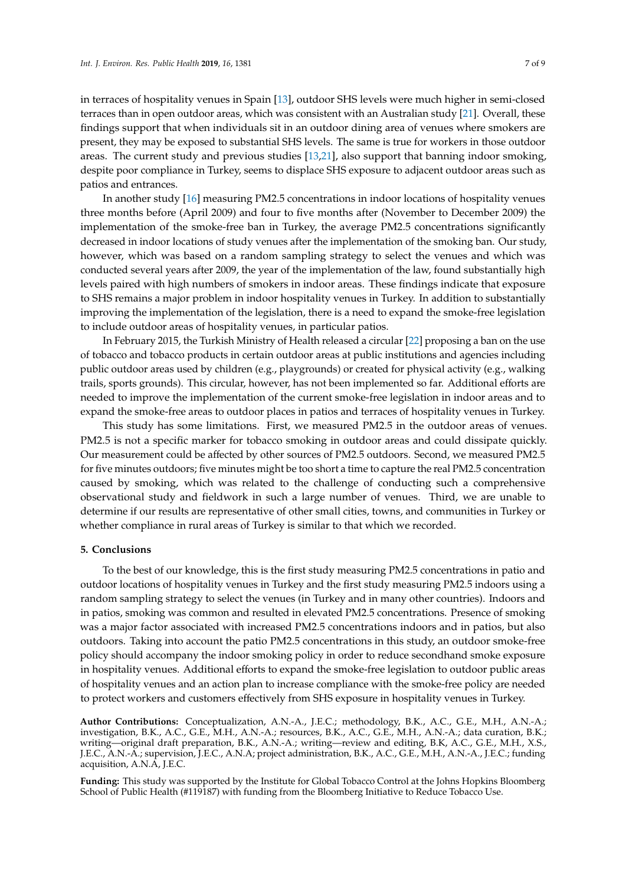in terraces of hospitality venues in Spain [\[13\]](#page-7-10), outdoor SHS levels were much higher in semi-closed terraces than in open outdoor areas, which was consistent with an Australian study [\[21\]](#page-8-1). Overall, these findings support that when individuals sit in an outdoor dining area of venues where smokers are present, they may be exposed to substantial SHS levels. The same is true for workers in those outdoor areas. The current study and previous studies [\[13,](#page-7-10)[21\]](#page-8-1), also support that banning indoor smoking, despite poor compliance in Turkey, seems to displace SHS exposure to adjacent outdoor areas such as patios and entrances.

In another study [\[16\]](#page-7-16) measuring PM2.5 concentrations in indoor locations of hospitality venues three months before (April 2009) and four to five months after (November to December 2009) the implementation of the smoke-free ban in Turkey, the average PM2.5 concentrations significantly decreased in indoor locations of study venues after the implementation of the smoking ban. Our study, however, which was based on a random sampling strategy to select the venues and which was conducted several years after 2009, the year of the implementation of the law, found substantially high levels paired with high numbers of smokers in indoor areas. These findings indicate that exposure to SHS remains a major problem in indoor hospitality venues in Turkey. In addition to substantially improving the implementation of the legislation, there is a need to expand the smoke-free legislation to include outdoor areas of hospitality venues, in particular patios.

In February 2015, the Turkish Ministry of Health released a circular [\[22\]](#page-8-2) proposing a ban on the use of tobacco and tobacco products in certain outdoor areas at public institutions and agencies including public outdoor areas used by children (e.g., playgrounds) or created for physical activity (e.g., walking trails, sports grounds). This circular, however, has not been implemented so far. Additional efforts are needed to improve the implementation of the current smoke-free legislation in indoor areas and to expand the smoke-free areas to outdoor places in patios and terraces of hospitality venues in Turkey.

This study has some limitations. First, we measured PM2.5 in the outdoor areas of venues. PM2.5 is not a specific marker for tobacco smoking in outdoor areas and could dissipate quickly. Our measurement could be affected by other sources of PM2.5 outdoors. Second, we measured PM2.5 for five minutes outdoors; five minutes might be too short a time to capture the real PM2.5 concentration caused by smoking, which was related to the challenge of conducting such a comprehensive observational study and fieldwork in such a large number of venues. Third, we are unable to determine if our results are representative of other small cities, towns, and communities in Turkey or whether compliance in rural areas of Turkey is similar to that which we recorded.

## **5. Conclusions**

To the best of our knowledge, this is the first study measuring PM2.5 concentrations in patio and outdoor locations of hospitality venues in Turkey and the first study measuring PM2.5 indoors using a random sampling strategy to select the venues (in Turkey and in many other countries). Indoors and in patios, smoking was common and resulted in elevated PM2.5 concentrations. Presence of smoking was a major factor associated with increased PM2.5 concentrations indoors and in patios, but also outdoors. Taking into account the patio PM2.5 concentrations in this study, an outdoor smoke-free policy should accompany the indoor smoking policy in order to reduce secondhand smoke exposure in hospitality venues. Additional efforts to expand the smoke-free legislation to outdoor public areas of hospitality venues and an action plan to increase compliance with the smoke-free policy are needed to protect workers and customers effectively from SHS exposure in hospitality venues in Turkey.

**Author Contributions:** Conceptualization, A.N.-A., J.E.C.; methodology, B.K., A.C., G.E., M.H., A.N.-A.; investigation, B.K., A.C., G.E., M.H., A.N.-A.; resources, B.K., A.C., G.E., M.H., A.N.-A.; data curation, B.K.; writing—original draft preparation, B.K., A.N.-A.; writing—review and editing, B.K, A.C., G.E., M.H., X.S., J.E.C., A.N.-A.; supervision, J.E.C., A.N.A; project administration, B.K., A.C., G.E., M.H., A.N.-A., J.E.C.; funding acquisition, A.N.A, J.E.C.

**Funding:** This study was supported by the Institute for Global Tobacco Control at the Johns Hopkins Bloomberg School of Public Health (#119187) with funding from the Bloomberg Initiative to Reduce Tobacco Use.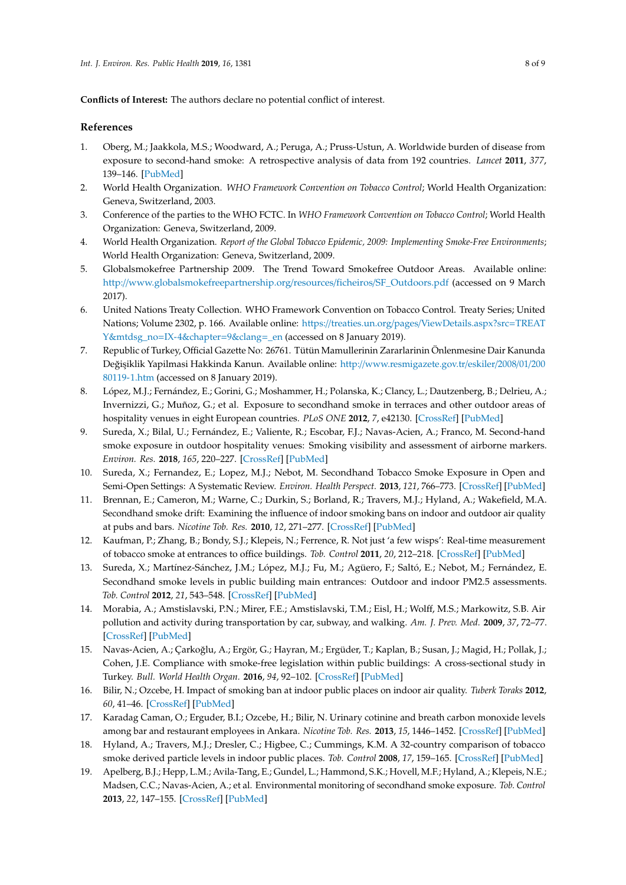**Conflicts of Interest:** The authors declare no potential conflict of interest.

## **References**

- <span id="page-7-0"></span>1. Oberg, M.; Jaakkola, M.S.; Woodward, A.; Peruga, A.; Pruss-Ustun, A. Worldwide burden of disease from exposure to second-hand smoke: A retrospective analysis of data from 192 countries. *Lancet* **2011**, *377*, 139–146. [\[PubMed\]](http://www.ncbi.nlm.nih.gov/pubmed/21112082)
- <span id="page-7-1"></span>2. World Health Organization. *WHO Framework Convention on Tobacco Control*; World Health Organization: Geneva, Switzerland, 2003.
- <span id="page-7-2"></span>3. Conference of the parties to the WHO FCTC. In *WHO Framework Convention on Tobacco Control*; World Health Organization: Geneva, Switzerland, 2009.
- <span id="page-7-3"></span>4. World Health Organization. *Report of the Global Tobacco Epidemic, 2009: Implementing Smoke-Free Environments*; World Health Organization: Geneva, Switzerland, 2009.
- <span id="page-7-4"></span>5. Globalsmokefree Partnership 2009. The Trend Toward Smokefree Outdoor Areas. Available online: http://[www.globalsmokefreepartnership.org](http://www.globalsmokefreepartnership.org/resources/ficheiros/SF_Outdoors.pdf)/resources/ficheiros/SF\_Outdoors.pdf (accessed on 9 March 2017).
- <span id="page-7-5"></span>6. United Nations Treaty Collection. WHO Framework Convention on Tobacco Control. Treaty Series; United Nations; Volume 2302, p. 166. Available online: https://treaties.un.org/pages/[ViewDetails.aspx?src](https://treaties.un.org/pages/ViewDetails.aspx?src=TREATY&mtdsg_no=IX-4&chapter=9&clang=_en)=TREAT Y&mtdsg\_no=[IX-4&chapter](https://treaties.un.org/pages/ViewDetails.aspx?src=TREATY&mtdsg_no=IX-4&chapter=9&clang=_en)=9&clang=\_en (accessed on 8 January 2019).
- <span id="page-7-6"></span>7. Republic of Turkey, Official Gazette No: 26761. Tütün Mamullerinin Zararlarinin Önlenmesine Dair Kanunda Değişiklik Yapilmasi Hakkinda Kanun. Available online: http://[www.resmigazete.gov.tr](http://www.resmigazete.gov.tr/eskiler/2008/01/20080119-1.htm)/eskiler/2008/01/200 [80119-1.htm](http://www.resmigazete.gov.tr/eskiler/2008/01/20080119-1.htm) (accessed on 8 January 2019).
- <span id="page-7-7"></span>8. López, M.J.; Fernández, E.; Gorini, G.; Moshammer, H.; Polanska, K.; Clancy, L.; Dautzenberg, B.; Delrieu, A.; Invernizzi, G.; Muñoz, G.; et al. Exposure to secondhand smoke in terraces and other outdoor areas of hospitality venues in eight European countries. *PLoS ONE* **2012**, *7*, e42130. [\[CrossRef\]](http://dx.doi.org/10.1371/journal.pone.0042130) [\[PubMed\]](http://www.ncbi.nlm.nih.gov/pubmed/22870289)
- <span id="page-7-8"></span>9. Sureda, X.; Bilal, U.; Fernández, E.; Valiente, R.; Escobar, F.J.; Navas-Acien, A.; Franco, M. Second-hand smoke exposure in outdoor hospitality venues: Smoking visibility and assessment of airborne markers. *Environ. Res.* **2018**, *165*, 220–227. [\[CrossRef\]](http://dx.doi.org/10.1016/j.envres.2018.04.024) [\[PubMed\]](http://www.ncbi.nlm.nih.gov/pubmed/29727822)
- 10. Sureda, X.; Fernandez, E.; Lopez, M.J.; Nebot, M. Secondhand Tobacco Smoke Exposure in Open and Semi-Open Settings: A Systematic Review. *Environ. Health Perspect.* **2013**, *121*, 766–773. [\[CrossRef\]](http://dx.doi.org/10.1289/ehp.1205806) [\[PubMed\]](http://www.ncbi.nlm.nih.gov/pubmed/23651671)
- 11. Brennan, E.; Cameron, M.; Warne, C.; Durkin, S.; Borland, R.; Travers, M.J.; Hyland, A.; Wakefield, M.A. Secondhand smoke drift: Examining the influence of indoor smoking bans on indoor and outdoor air quality at pubs and bars. *Nicotine Tob. Res.* **2010**, *12*, 271–277. [\[CrossRef\]](http://dx.doi.org/10.1093/ntr/ntp204) [\[PubMed\]](http://www.ncbi.nlm.nih.gov/pubmed/20097839)
- <span id="page-7-9"></span>12. Kaufman, P.; Zhang, B.; Bondy, S.J.; Klepeis, N.; Ferrence, R. Not just 'a few wisps': Real-time measurement of tobacco smoke at entrances to office buildings. *Tob. Control* **2011**, *20*, 212–218. [\[CrossRef\]](http://dx.doi.org/10.1136/tc.2010.041277) [\[PubMed\]](http://www.ncbi.nlm.nih.gov/pubmed/21177666)
- <span id="page-7-10"></span>13. Sureda, X.; Martínez-Sánchez, J.M.; López, M.J.; Fu, M.; Agüero, F.; Saltó, E.; Nebot, M.; Fernández, E. Secondhand smoke levels in public building main entrances: Outdoor and indoor PM2.5 assessments. *Tob. Control* **2012**, *21*, 543–548. [\[CrossRef\]](http://dx.doi.org/10.1136/tobaccocontrol-2011-050040) [\[PubMed\]](http://www.ncbi.nlm.nih.gov/pubmed/21964181)
- <span id="page-7-11"></span>14. Morabia, A.; Amstislavski, P.N.; Mirer, F.E.; Amstislavski, T.M.; Eisl, H.; Wolff, M.S.; Markowitz, S.B. Air pollution and activity during transportation by car, subway, and walking. *Am. J. Prev. Med.* **2009**, *37*, 72–77. [\[CrossRef\]](http://dx.doi.org/10.1016/j.amepre.2009.03.014) [\[PubMed\]](http://www.ncbi.nlm.nih.gov/pubmed/19524146)
- <span id="page-7-12"></span>15. Navas-Acien, A.; Çarkoğlu, A.; Ergör, G.; Hayran, M.; Ergüder, T.; Kaplan, B.; Susan, J.; Magid, H.; Pollak, J.; Cohen, J.E. Compliance with smoke-free legislation within public buildings: A cross-sectional study in Turkey. *Bull. World Health Organ.* **2016**, *94*, 92–102. [\[CrossRef\]](http://dx.doi.org/10.2471/BLT.15.158238) [\[PubMed\]](http://www.ncbi.nlm.nih.gov/pubmed/26908959)
- <span id="page-7-16"></span>16. Bilir, N.; Ozcebe, H. Impact of smoking ban at indoor public places on indoor air quality. *Tuberk Toraks* **2012**, *60*, 41–46. [\[CrossRef\]](http://dx.doi.org/10.5578/tt.3060) [\[PubMed\]](http://www.ncbi.nlm.nih.gov/pubmed/22554365)
- <span id="page-7-13"></span>17. Karadag Caman, O.; Erguder, B.I.; Ozcebe, H.; Bilir, N. Urinary cotinine and breath carbon monoxide levels among bar and restaurant employees in Ankara. *Nicotine Tob. Res.* **2013**, *15*, 1446–1452. [\[CrossRef\]](http://dx.doi.org/10.1093/ntr/nts345) [\[PubMed\]](http://www.ncbi.nlm.nih.gov/pubmed/23325913)
- <span id="page-7-14"></span>18. Hyland, A.; Travers, M.J.; Dresler, C.; Higbee, C.; Cummings, K.M. A 32-country comparison of tobacco smoke derived particle levels in indoor public places. *Tob. Control* **2008**, *17*, 159–165. [\[CrossRef\]](http://dx.doi.org/10.1136/tc.2007.020479) [\[PubMed\]](http://www.ncbi.nlm.nih.gov/pubmed/18303089)
- <span id="page-7-15"></span>19. Apelberg, B.J.; Hepp, L.M.; Avila-Tang, E.; Gundel, L.; Hammond, S.K.; Hovell, M.F.; Hyland, A.; Klepeis, N.E.; Madsen, C.C.; Navas-Acien, A.; et al. Environmental monitoring of secondhand smoke exposure. *Tob. Control* **2013**, *22*, 147–155. [\[CrossRef\]](http://dx.doi.org/10.1136/tobaccocontrol-2011-050301) [\[PubMed\]](http://www.ncbi.nlm.nih.gov/pubmed/22949497)